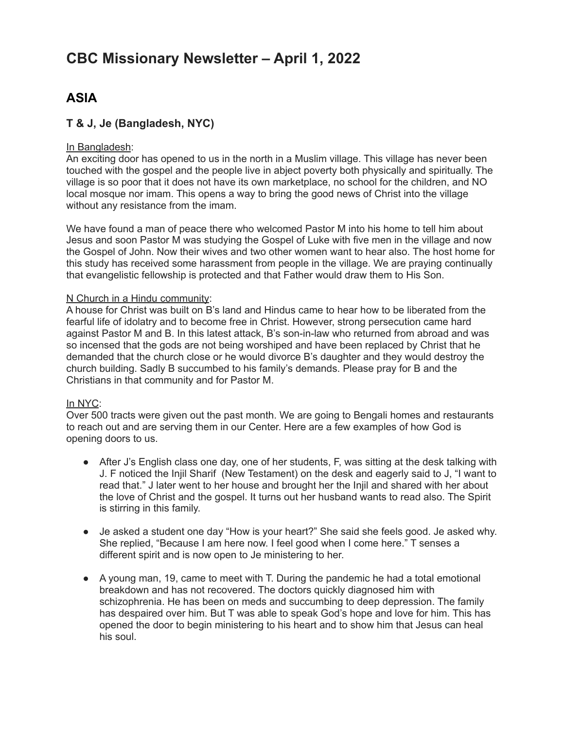# **CBC Missionary Newsletter – April 1, 2022**

# **ASIA**

## **T & J, Je (Bangladesh, NYC)**

#### In Bangladesh:

An exciting door has opened to us in the north in a Muslim village. This village has never been touched with the gospel and the people live in abject poverty both physically and spiritually. The village is so poor that it does not have its own marketplace, no school for the children, and NO local mosque nor imam. This opens a way to bring the good news of Christ into the village without any resistance from the imam.

We have found a man of peace there who welcomed Pastor M into his home to tell him about Jesus and soon Pastor M was studying the Gospel of Luke with five men in the village and now the Gospel of John. Now their wives and two other women want to hear also. The host home for this study has received some harassment from people in the village. We are praying continually that evangelistic fellowship is protected and that Father would draw them to His Son.

#### N Church in a Hindu community:

A house for Christ was built on B's land and Hindus came to hear how to be liberated from the fearful life of idolatry and to become free in Christ. However, strong persecution came hard against Pastor M and B. In this latest attack, B's son-in-law who returned from abroad and was so incensed that the gods are not being worshiped and have been replaced by Christ that he demanded that the church close or he would divorce B's daughter and they would destroy the church building. Sadly B succumbed to his family's demands. Please pray for B and the Christians in that community and for Pastor M.

#### In NYC:

Over 500 tracts were given out the past month. We are going to Bengali homes and restaurants to reach out and are serving them in our Center. Here are a few examples of how God is opening doors to us.

- After J's English class one day, one of her students, F, was sitting at the desk talking with J. F noticed the Injil Sharif (New Testament) on the desk and eagerly said to J, "I want to read that." J later went to her house and brought her the Injil and shared with her about the love of Christ and the gospel. It turns out her husband wants to read also. The Spirit is stirring in this family.
- Je asked a student one day "How is your heart?" She said she feels good. Je asked why. She replied, "Because I am here now. I feel good when I come here." T senses a different spirit and is now open to Je ministering to her.
- A young man, 19, came to meet with T. During the pandemic he had a total emotional breakdown and has not recovered. The doctors quickly diagnosed him with schizophrenia. He has been on meds and succumbing to deep depression. The family has despaired over him. But T was able to speak God's hope and love for him. This has opened the door to begin ministering to his heart and to show him that Jesus can heal his soul.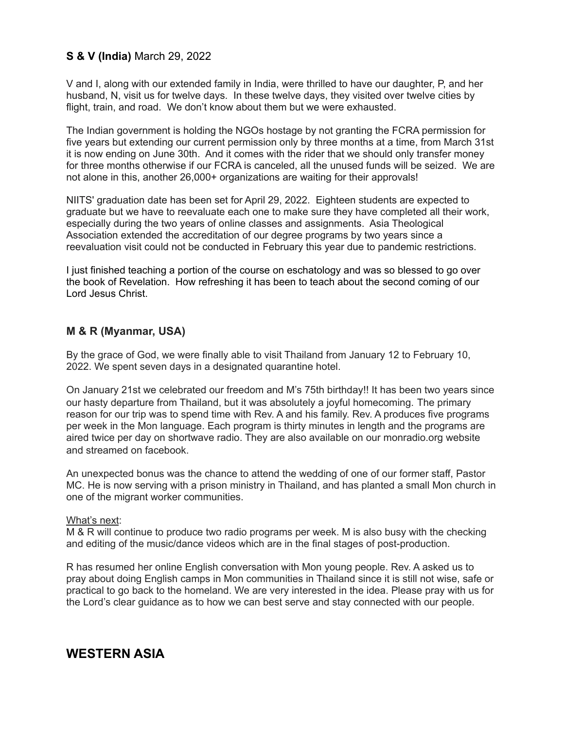## **S & V (India)** March 29, 2022

V and I, along with our extended family in India, were thrilled to have our daughter, P, and her husband, N, visit us for twelve days. In these twelve days, they visited over twelve cities by flight, train, and road. We don't know about them but we were exhausted.

The Indian government is holding the NGOs hostage by not granting the FCRA permission for five years but extending our current permission only by three months at a time, from March 31st it is now ending on June 30th. And it comes with the rider that we should only transfer money for three months otherwise if our FCRA is canceled, all the unused funds will be seized. We are not alone in this, another 26,000+ organizations are waiting for their approvals!

NIITS' graduation date has been set for April 29, 2022. Eighteen students are expected to graduate but we have to reevaluate each one to make sure they have completed all their work, especially during the two years of online classes and assignments. Asia Theological Association extended the accreditation of our degree programs by two years since a reevaluation visit could not be conducted in February this year due to pandemic restrictions.

I just finished teaching a portion of the course on eschatology and was so blessed to go over the book of Revelation. How refreshing it has been to teach about the second coming of our Lord Jesus Christ.

### **M & R (Myanmar, USA)**

By the grace of God, we were finally able to visit Thailand from January 12 to February 10, 2022. We spent seven days in a designated quarantine hotel.

On January 21st we celebrated our freedom and M's 75th birthday!! It has been two years since our hasty departure from Thailand, but it was absolutely a joyful homecoming. The primary reason for our trip was to spend time with Rev. A and his family. Rev. A produces five programs per week in the Mon language. Each program is thirty minutes in length and the programs are aired twice per day on shortwave radio. They are also available on our monradio.org website and streamed on facebook.

An unexpected bonus was the chance to attend the wedding of one of our former staff, Pastor MC. He is now serving with a prison ministry in Thailand, and has planted a small Mon church in one of the migrant worker communities.

#### What's next:

M & R will continue to produce two radio programs per week. M is also busy with the checking and editing of the music/dance videos which are in the final stages of post-production.

R has resumed her online English conversation with Mon young people. Rev. A asked us to pray about doing English camps in Mon communities in Thailand since it is still not wise, safe or practical to go back to the homeland. We are very interested in the idea. Please pray with us for the Lord's clear guidance as to how we can best serve and stay connected with our people.

# **WESTERN ASIA**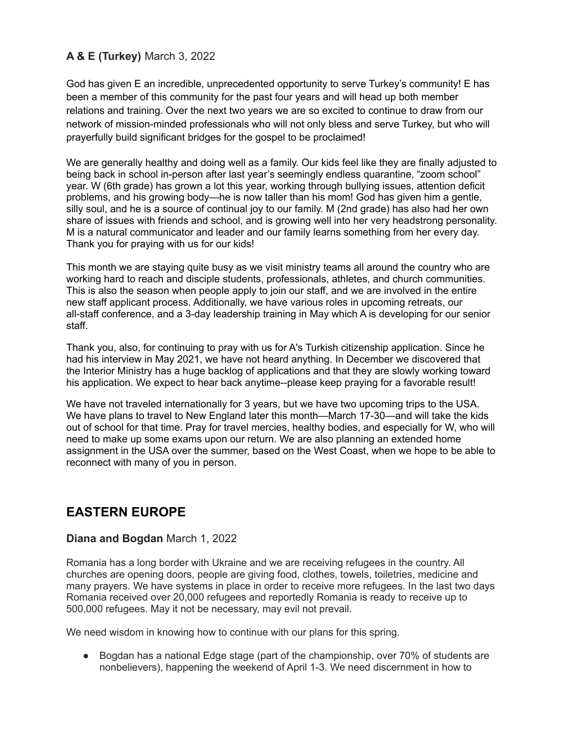## **A & E (Turkey)** March 3, 2022

God has given E an incredible, unprecedented opportunity to serve Turkey's community! E has been a member of this community for the past four years and will head up both member relations and training. Over the next two years we are so excited to continue to draw from our network of mission-minded professionals who will not only bless and serve Turkey, but who will prayerfully build significant bridges for the gospel to be proclaimed!

We are generally healthy and doing well as a family. Our kids feel like they are finally adjusted to being back in school in-person after last year's seemingly endless quarantine, "zoom school" year. W (6th grade) has grown a lot this year, working through bullying issues, attention deficit problems, and his growing body—he is now taller than his mom! God has given him a gentle, silly soul, and he is a source of continual joy to our family. M (2nd grade) has also had her own share of issues with friends and school, and is growing well into her very headstrong personality. M is a natural communicator and leader and our family learns something from her every day. Thank you for praying with us for our kids!

This month we are staying quite busy as we visit ministry teams all around the country who are working hard to reach and disciple students, professionals, athletes, and church communities. This is also the season when people apply to join our staff, and we are involved in the entire new staff applicant process. Additionally, we have various roles in upcoming retreats, our all-staff conference, and a 3-day leadership training in May which A is developing for our senior staff.

Thank you, also, for continuing to pray with us for A's Turkish citizenship application. Since he had his interview in May 2021, we have not heard anything. In December we discovered that the Interior Ministry has a huge backlog of applications and that they are slowly working toward his application. We expect to hear back anytime--please keep praying for a favorable result!

We have not traveled internationally for 3 years, but we have two upcoming trips to the USA. We have plans to travel to New England later this month—March 17-30—and will take the kids out of school for that time. Pray for travel mercies, healthy bodies, and especially for W, who will need to make up some exams upon our return. We are also planning an extended home assignment in the USA over the summer, based on the West Coast, when we hope to be able to reconnect with many of you in person.

# **EASTERN EUROPE**

### **Diana and Bogdan** March 1, 2022

Romania has a long border with Ukraine and we are receiving refugees in the country. All churches are opening doors, people are giving food, clothes, towels, toiletries, medicine and many prayers. We have systems in place in order to receive more refugees. In the last two days Romania received over 20,000 refugees and reportedly Romania is ready to receive up to 500,000 refugees. May it not be necessary, may evil not prevail.

We need wisdom in knowing how to continue with our plans for this spring.

● Bogdan has a national Edge stage (part of the championship, over 70% of students are nonbelievers), happening the weekend of April 1-3. We need discernment in how to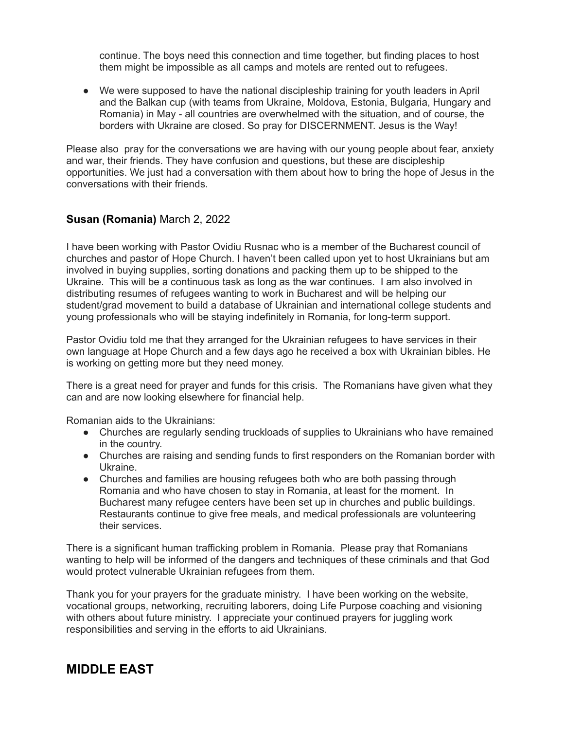continue. The boys need this connection and time together, but finding places to host them might be impossible as all camps and motels are rented out to refugees.

● We were supposed to have the national discipleship training for youth leaders in April and the Balkan cup (with teams from Ukraine, Moldova, Estonia, Bulgaria, Hungary and Romania) in May - all countries are overwhelmed with the situation, and of course, the borders with Ukraine are closed. So pray for DISCERNMENT. Jesus is the Way!

Please also pray for the conversations we are having with our young people about fear, anxiety and war, their friends. They have confusion and questions, but these are discipleship opportunities. We just had a conversation with them about how to bring the hope of Jesus in the conversations with their friends.

### **Susan (Romania)** March 2, 2022

I have been working with Pastor Ovidiu Rusnac who is a member of the Bucharest council of churches and pastor of Hope Church. I haven't been called upon yet to host Ukrainians but am involved in buying supplies, sorting donations and packing them up to be shipped to the Ukraine. This will be a continuous task as long as the war continues. I am also involved in distributing resumes of refugees wanting to work in Bucharest and will be helping our student/grad movement to build a database of Ukrainian and international college students and young professionals who will be staying indefinitely in Romania, for long-term support.

Pastor Ovidiu told me that they arranged for the Ukrainian refugees to have services in their own language at Hope Church and a few days ago he received a box with Ukrainian bibles. He is working on getting more but they need money.

There is a great need for prayer and funds for this crisis. The Romanians have given what they can and are now looking elsewhere for financial help.

Romanian aids to the Ukrainians:

- Churches are regularly sending truckloads of supplies to Ukrainians who have remained in the country.
- Churches are raising and sending funds to first responders on the Romanian border with Ukraine.
- Churches and families are housing refugees both who are both passing through Romania and who have chosen to stay in Romania, at least for the moment. In Bucharest many refugee centers have been set up in churches and public buildings. Restaurants continue to give free meals, and medical professionals are volunteering their services.

There is a significant human trafficking problem in Romania. Please pray that Romanians wanting to help will be informed of the dangers and techniques of these criminals and that God would protect vulnerable Ukrainian refugees from them.

Thank you for your prayers for the graduate ministry. I have been working on the website, vocational groups, networking, recruiting laborers, doing Life Purpose coaching and visioning with others about future ministry. I appreciate your continued prayers for juggling work responsibilities and serving in the efforts to aid Ukrainians.

# **MIDDLE EAST**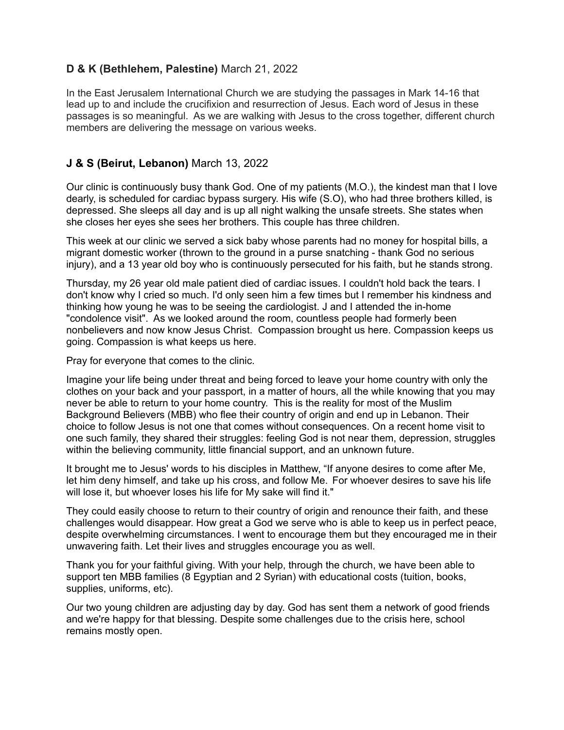### **D & K (Bethlehem, Palestine)** March 21, 2022

In the East Jerusalem International Church we are studying the passages in Mark 14-16 that lead up to and include the crucifixion and resurrection of Jesus. Each word of Jesus in these passages is so meaningful. As we are walking with Jesus to the cross together, different church members are delivering the message on various weeks.

### **J & S (Beirut, Lebanon)** March 13, 2022

Our clinic is continuously busy thank God. One of my patients (M.O.), the kindest man that I love dearly, is scheduled for cardiac bypass surgery. His wife (S.O), who had three brothers killed, is depressed. She sleeps all day and is up all night walking the unsafe streets. She states when she closes her eyes she sees her brothers. This couple has three children.

This week at our clinic we served a sick baby whose parents had no money for hospital bills, a migrant domestic worker (thrown to the ground in a purse snatching - thank God no serious injury), and a 13 year old boy who is continuously persecuted for his faith, but he stands strong.

Thursday, my 26 year old male patient died of cardiac issues. I couldn't hold back the tears. I don't know why I cried so much. I'd only seen him a few times but I remember his kindness and thinking how young he was to be seeing the cardiologist. J and I attended the in-home "condolence visit". As we looked around the room, countless people had formerly been nonbelievers and now know Jesus Christ. Compassion brought us here. Compassion keeps us going. Compassion is what keeps us here.

Pray for everyone that comes to the clinic.

Imagine your life being under threat and being forced to leave your home country with only the clothes on your back and your passport, in a matter of hours, all the while knowing that you may never be able to return to your home country. This is the reality for most of the Muslim Background Believers (MBB) who flee their country of origin and end up in Lebanon. Their choice to follow Jesus is not one that comes without consequences. On a recent home visit to one such family, they shared their struggles: feeling God is not near them, depression, struggles within the believing community, little financial support, and an unknown future.

It brought me to Jesus' words to his disciples in Matthew, "If anyone desires to come after Me, let him deny himself, and take up his cross, and follow Me. For whoever desires to save his life will lose it, but whoever loses his life for My sake will find it."

They could easily choose to return to their country of origin and renounce their faith, and these challenges would disappear. How great a God we serve who is able to keep us in perfect peace, despite overwhelming circumstances. I went to encourage them but they encouraged me in their unwavering faith. Let their lives and struggles encourage you as well.

Thank you for your faithful giving. With your help, through the church, we have been able to support ten MBB families (8 Egyptian and 2 Syrian) with educational costs (tuition, books, supplies, uniforms, etc).

Our two young children are adjusting day by day. God has sent them a network of good friends and we're happy for that blessing. Despite some challenges due to the crisis here, school remains mostly open.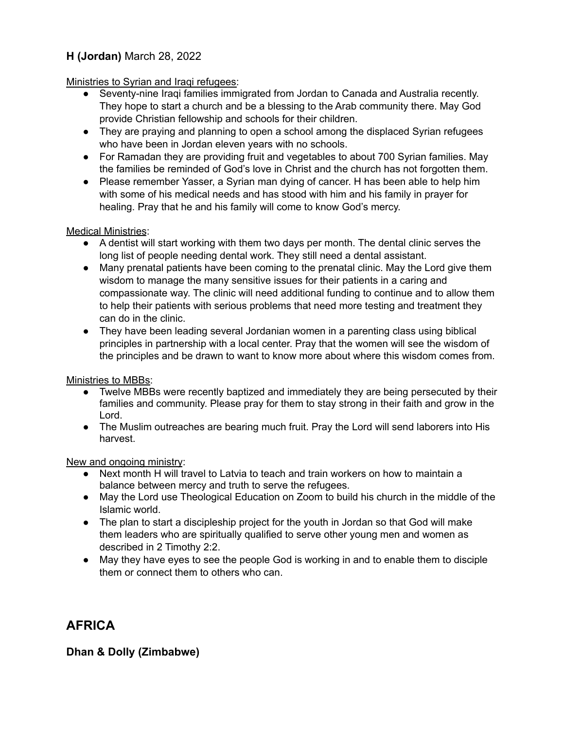# **H (Jordan)** March 28, 2022

#### Ministries to Syrian and Iraqi refugees:

- Seventy-nine Iraqi families immigrated from Jordan to Canada and Australia recently. They hope to start a church and be a blessing to the Arab community there. May God provide Christian fellowship and schools for their children.
- They are praying and planning to open a school among the displaced Syrian refugees who have been in Jordan eleven years with no schools.
- For Ramadan they are providing fruit and vegetables to about 700 Syrian families. May the families be reminded of God's love in Christ and the church has not forgotten them.
- Please remember Yasser, a Syrian man dying of cancer. H has been able to help him with some of his medical needs and has stood with him and his family in prayer for healing. Pray that he and his family will come to know God's mercy.

#### Medical Ministries:

- A dentist will start working with them two days per month. The dental clinic serves the long list of people needing dental work. They still need a dental assistant.
- Many prenatal patients have been coming to the prenatal clinic. May the Lord give them wisdom to manage the many sensitive issues for their patients in a caring and compassionate way. The clinic will need additional funding to continue and to allow them to help their patients with serious problems that need more testing and treatment they can do in the clinic.
- They have been leading several Jordanian women in a parenting class using biblical principles in partnership with a local center. Pray that the women will see the wisdom of the principles and be drawn to want to know more about where this wisdom comes from.

### Ministries to MBBs:

- Twelve MBBs were recently baptized and immediately they are being persecuted by their families and community. Please pray for them to stay strong in their faith and grow in the Lord.
- The Muslim outreaches are bearing much fruit. Pray the Lord will send laborers into His harvest.

#### New and ongoing ministry:

- Next month H will travel to Latvia to teach and train workers on how to maintain a balance between mercy and truth to serve the refugees.
- May the Lord use Theological Education on Zoom to build his church in the middle of the Islamic world.
- The plan to start a discipleship project for the youth in Jordan so that God will make them leaders who are spiritually qualified to serve other young men and women as described in 2 Timothy 2:2.
- May they have eyes to see the people God is working in and to enable them to disciple them or connect them to others who can.

# **AFRICA**

### **Dhan & Dolly (Zimbabwe)**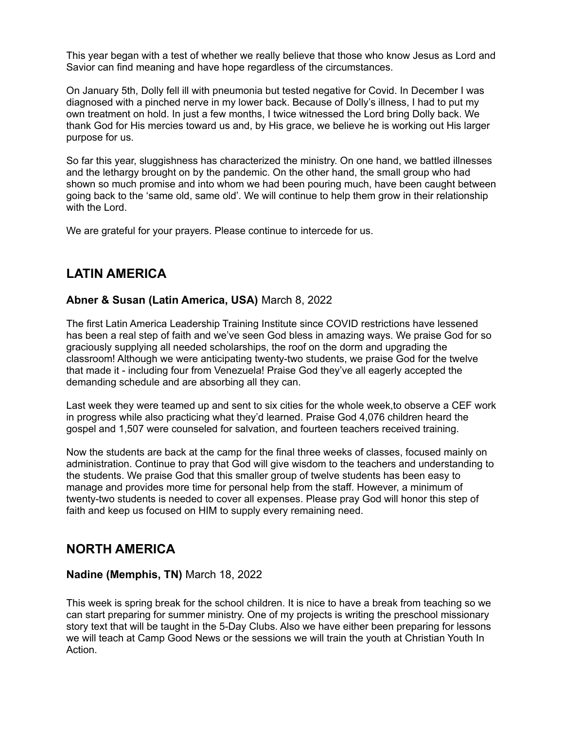This year began with a test of whether we really believe that those who know Jesus as Lord and Savior can find meaning and have hope regardless of the circumstances.

On January 5th, Dolly fell ill with pneumonia but tested negative for Covid. In December I was diagnosed with a pinched nerve in my lower back. Because of Dolly's illness, I had to put my own treatment on hold. In just a few months, I twice witnessed the Lord bring Dolly back. We thank God for His mercies toward us and, by His grace, we believe he is working out His larger purpose for us.

So far this year, sluggishness has characterized the ministry. On one hand, we battled illnesses and the lethargy brought on by the pandemic. On the other hand, the small group who had shown so much promise and into whom we had been pouring much, have been caught between going back to the 'same old, same old'. We will continue to help them grow in their relationship with the Lord.

We are grateful for your prayers. Please continue to intercede for us.

# **LATIN AMERICA**

### **Abner & Susan (Latin America, USA)** March 8, 2022

The first Latin America Leadership Training Institute since COVID restrictions have lessened has been a real step of faith and we've seen God bless in amazing ways. We praise God for so graciously supplying all needed scholarships, the roof on the dorm and upgrading the classroom! Although we were anticipating twenty-two students, we praise God for the twelve that made it - including four from Venezuela! Praise God they've all eagerly accepted the demanding schedule and are absorbing all they can.

Last week they were teamed up and sent to six cities for the whole week,to observe a CEF work in progress while also practicing what they'd learned. Praise God 4,076 children heard the gospel and 1,507 were counseled for salvation, and fourteen teachers received training.

Now the students are back at the camp for the final three weeks of classes, focused mainly on administration. Continue to pray that God will give wisdom to the teachers and understanding to the students. We praise God that this smaller group of twelve students has been easy to manage and provides more time for personal help from the staff. However, a minimum of twenty-two students is needed to cover all expenses. Please pray God will honor this step of faith and keep us focused on HIM to supply every remaining need.

# **NORTH AMERICA**

#### **Nadine (Memphis, TN)** March 18, 2022

This week is spring break for the school children. It is nice to have a break from teaching so we can start preparing for summer ministry. One of my projects is writing the preschool missionary story text that will be taught in the 5-Day Clubs. Also we have either been preparing for lessons we will teach at Camp Good News or the sessions we will train the youth at Christian Youth In Action.